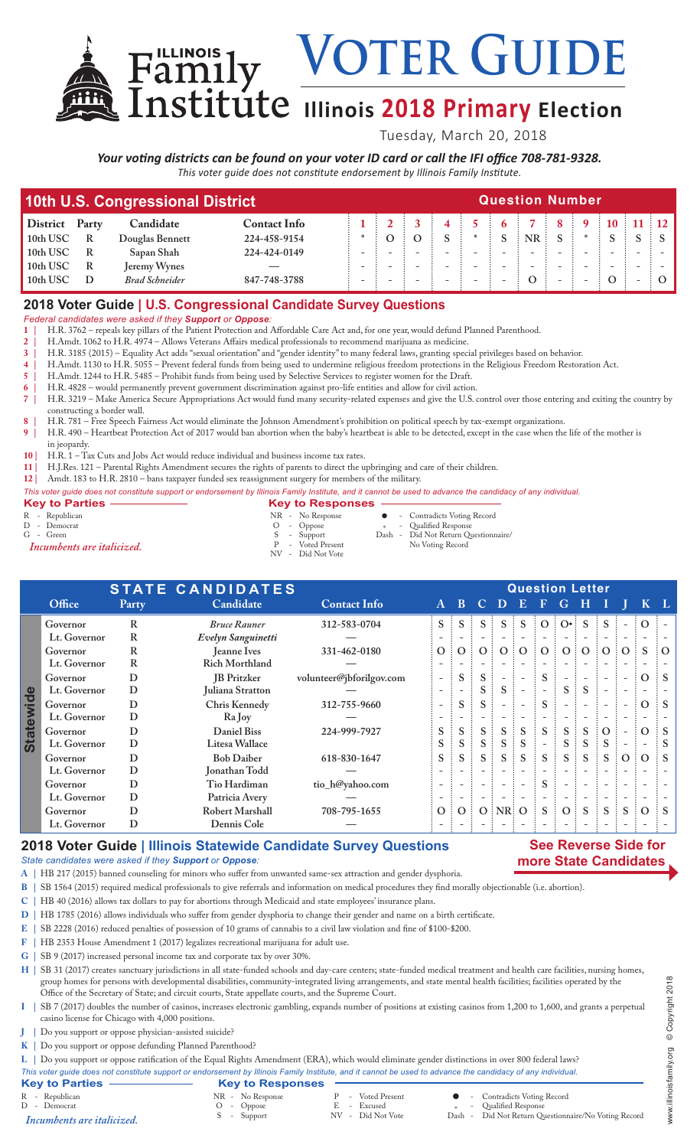VOTER GUIDE **Family VOIEK GUIDE**<br> **Institute** Illinois 2018 Primary Election

Tuesday, March 20, 2018

# *Your voting districts can be found on your voter ID card or call the IFI office 708-781-9328.*

*This voter guide does not constitute endorsement by Illinois Family Institute.*

| 10th U.S. Congressional District | <b>Question Number</b> |                       |                     |  |  |                          |  |  |           |  |  |    |  |               |  |
|----------------------------------|------------------------|-----------------------|---------------------|--|--|--------------------------|--|--|-----------|--|--|----|--|---------------|--|
| <b>District</b>                  | Party                  | Candidate             | <b>Contact Info</b> |  |  |                          |  |  |           |  |  | 10 |  | $11 \quad 12$ |  |
| 10th USC                         | R                      | Douglas Bennett       | 224-458-9154        |  |  |                          |  |  | <b>NR</b> |  |  |    |  |               |  |
| 10th USC                         | R                      | Sapan Shah            | 224-424-0149        |  |  | $\overline{\phantom{0}}$ |  |  |           |  |  |    |  |               |  |
| 10th USC                         | R                      | Jeremy Wynes          |                     |  |  |                          |  |  |           |  |  |    |  |               |  |
| 10th USC                         | D                      | <b>Brad Schneider</b> | 847-748-3788        |  |  |                          |  |  |           |  |  |    |  |               |  |

# **2018 Voter Guide | U.S. Congressional Candidate Survey Questions**

*Federal candidates were asked if they Support or Oppose:*

- **1 |** H.R. 3762 repeals key pillars of the Patient Protection and Affordable Care Act and, for one year, would defund Planned Parenthood.
- **2 |** H.Amdt. 1062 to H.R. 4974 Allows Veterans Affairs medical professionals to recommend marijuana as medicine.
- **3 |** H.R. 3185 (2015) Equality Act adds "sexual orientation" and "gender identity" to many federal laws, granting special privileges based on behavior.
- **4 |** H.Amdt. 1130 to H.R. 5055 Prevent federal funds from being used to undermine religious freedom protections in the Religious Freedom Restoration Act.
- **5 |** H.Amdt. 1244 to H.R. 5485 Prohibit funds from being used by Selective Services to register women for the Draft.
- **6 |** H.R. 4828 would permanently prevent government discrimination against pro-life entities and allow for civil action. **7 |** H.R. 3219 – Make America Secure Appropriations Act would fund many security-related expenses and give the U.S. control over those entering and exiting the country by constructing a border wall.
- **8 |** H.R. 781 Free Speech Fairness Act would eliminate the Johnson Amendment's prohibition on political speech by tax-exempt organizations.
- **9 |** H.R. 490 Heartbeat Protection Act of 2017 would ban abortion when the baby's heartbeat is able to be detected, except in the case when the life of the mother is in jeopardy.
- 
- 10 | H.R. 1 Tax Cuts and Jobs Act would reduce individual and business income tax rates.<br>
11 | H.J.Res. 121 Parental Rights Amendment secures the rights of parents to direct the u **11 |** H.J.Res. 121 – Parental Rights Amendment secures the rights of parents to direct the upbringing and care of their children.
- **12 |** Amdt. 183 to H.R. 2810 bans taxpayer funded sex reassignment surgery for members of the military.

#### *This voter guide does not constitute support or endorsement by Illinois Family Institute, and it cannot be used to advance the candidacy of any individual.*

| • Contradicts Voting Record<br>R - Republican<br>NR - No Response<br>* - Qualified Response<br>D - Democrat<br>$O$ - Oppose<br>G - Green<br>Dash - Did Not Return Questionnaire/<br>S - Support<br>P - Voted Present<br>No Voting Record<br>Incumbents are italicized.<br>NV - Did Not Vote | <b>Key to Parties -</b> | <b>Key to Responses</b> |  |
|---------------------------------------------------------------------------------------------------------------------------------------------------------------------------------------------------------------------------------------------------------------------------------------------|-------------------------|-------------------------|--|
|                                                                                                                                                                                                                                                                                             |                         |                         |  |

|                      | <b>STATE CANDIDATES</b> |       |                       | <b>Question Letter</b>   |                          |                |                |                          |                          |    |                                       |                          |                     |          |                |          |
|----------------------|-------------------------|-------|-----------------------|--------------------------|--------------------------|----------------|----------------|--------------------------|--------------------------|----|---------------------------------------|--------------------------|---------------------|----------|----------------|----------|
|                      | Office                  | Party | Candidate             | <b>Contact Info</b>      | $\mathbf{A}$             | B              | $\bullet$      | <b>D</b>                 | $\bf{E}$                 | Æ  | G                                     | Н                        |                     |          |                |          |
|                      | Governor                | R     | <b>Bruce Rauner</b>   | 312-583-0704             | $S$ :                    |                |                |                          |                          |    | $S \nvert S \nvert O \nvert O \nvert$ | <sub>S</sub>             |                     |          |                |          |
|                      | Lt. Governor            | R     | Evelyn Sanguinetti    |                          |                          |                |                |                          |                          |    |                                       |                          |                     |          |                |          |
|                      | Governor                | R     | <b>Jeanne Ives</b>    | 331-462-0180             | O:                       | $\overline{O}$ | O <sub>1</sub> | O:O                      |                          | O: | O:O                                   |                          | $\vdots$ O $\vdots$ | O:       | S              | $\Omega$ |
|                      | Lt. Governor            | R     | <b>Rich Morthland</b> |                          |                          |                |                |                          |                          |    |                                       |                          |                     |          |                |          |
|                      | Governor                | D     | <b>IB</b> Pritzker    | volunteer@jbforilgov.com | $\overline{\phantom{a}}$ | S              |                |                          | $\overline{\phantom{a}}$ | S. |                                       |                          |                     |          | $\Omega$       | -S       |
| Φ<br><b>Statewid</b> | Lt. Governor            | D     | Juliana Stratton      |                          | $\overline{\phantom{0}}$ |                |                | S.                       |                          |    | S                                     | <sub>S</sub>             |                     |          |                |          |
|                      | Governor                | D     | Chris Kennedy         | 312-755-9660             | $\overline{\phantom{0}}$ | S.             |                |                          | $\overline{\phantom{0}}$ | S. |                                       | $\overline{\phantom{0}}$ |                     |          | $\overline{O}$ | : S      |
|                      | Lt. Governor            | D     | Ra Joy                |                          |                          |                |                |                          |                          |    |                                       |                          |                     |          |                |          |
|                      | Governor                | D     | <b>Daniel Biss</b>    | 224-999-7927             | S.                       | S.             | S.             | $S$ :                    | $\mathbf S$              | S. | S.                                    | S                        | $\Omega$            |          | $\Omega$       |          |
|                      | Lt. Governor            | D     | Litesa Wallace        |                          | S.                       |                |                | S                        | <sub>S</sub>             |    | S.                                    | S                        | S                   |          |                |          |
|                      | Governor                | D     | <b>Bob Daiber</b>     | 618-830-1647             | S.                       | S.             |                | S                        | <sub>S</sub>             | S  | S                                     | S                        | $S \nightharpoonup$ | $\Omega$ | $\Omega$       |          |
|                      | Lt. Governor            | D     | Jonathan Todd         |                          |                          |                |                |                          |                          |    |                                       |                          |                     |          |                |          |
|                      | Governor                | D     | Tio Hardiman          | tio_h@yahoo.com          |                          |                |                |                          |                          | S. |                                       |                          |                     |          |                |          |
|                      | Lt. Governor            | D     | Patricia Avery        |                          |                          |                |                | $\overline{\phantom{a}}$ | $\overline{\phantom{a}}$ |    | $\overline{\phantom{0}}$              | $\overline{\phantom{0}}$ |                     |          |                |          |
|                      | Governor                | D     | Robert Marshall       | 708-795-1655             | $\overline{O}$ :         | O:             |                | $O$ : NR: O              |                          |    | O:                                    | <sub>S</sub>             | <sub>S</sub>        | S        | $\Omega$       |          |
|                      | Lt. Governor            | D     | Dennis Cole           |                          |                          |                |                |                          |                          |    |                                       |                          |                     |          |                |          |

#### **2018 Voter Guide | Illinois Statewide Candidate Survey Questions**

### **See Reverse Side for more State Candidates**

*State candidates were asked if they Support or Oppose:*

- **A |** HB 217 (2015) banned counseling for minors who suffer from unwanted same-sex attraction and gender dysphoria.
- **B |** SB 1564 (2015) required medical professionals to give referrals and information on medical procedures they find morally objectionable (i.e. abortion).
- **C |** HB 40 (2016) allows tax dollars to pay for abortions through Medicaid and state employees' insurance plans.
- **D |** HB 1785 (2016) allows individuals who suffer from gender dysphoria to change their gender and name on a birth certificate.
- **E |** SB 2228 (2016) reduced penalties of possession of 10 grams of cannabis to a civil law violation and fine of \$100-\$200.
- **F |** HB 2353 House Amendment 1 (2017) legalizes recreational marijuana for adult use.
- **G |** SB 9 (2017) increased personal income tax and corporate tax by over 30%.

H | SB 31 (2017) creates sanctuary jurisdictions in all state-funded schools and day-care centers; state-funded medical treatment and health care facilities, nursing homes, group homes for persons with developmental disabilities, community-integrated living arrangements, and state mental health facilities; facilities operated by the Office of the Secretary of State; and circuit courts, State appellate courts, and the Supreme Court.

- **I |** SB 7 (2017) doubles the number of casinos, increases electronic gambling, expands number of positions at existing casinos from 1,200 to 1,600, and grants a perpetual casino license for Chicago with 4,000 positions.
- **J |** Do you support or oppose physician-assisted suicide?
- **K |** Do you support or oppose defunding Planned Parenthood?

**L |** Do you support or oppose ratification of the Equal Rights Amendment (ERA), which would eliminate gender distinctions in over 800 federal laws?

- 
- *This voter guide does not constitute support or endorsement by Illinois Family Institute, and it cannot be used to advance the candidacy of any individual.* **Key to Parties Key to Responses**<br>
R - Republican<br>
D - Democrat<br>
Incumbents are italicized.<br>
S - Support R - Voted Present **C** - Contradicts Voting Record E - Excused  $*$  - Qualified Response E - Excused \* -<br>NV - Did Not Vote \* Dash -Did Not Return Questionnaire/No Voting Record *Incumbents are italicized.*